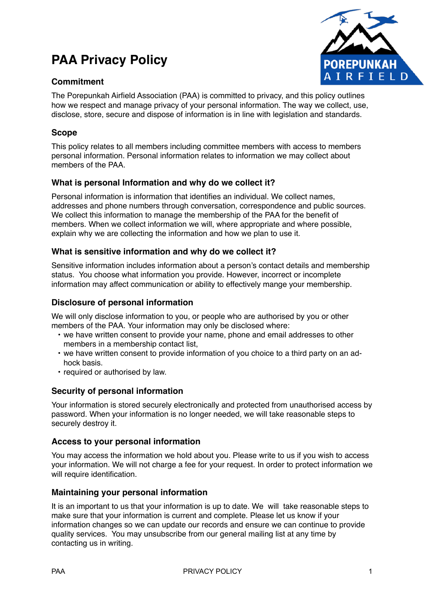# **PAA Privacy Policy**





The Porepunkah Airfield Association (PAA) is committed to privacy, and this policy outlines how we respect and manage privacy of your personal information. The way we collect, use, disclose, store, secure and dispose of information is in line with legislation and standards.

## **Scope**

This policy relates to all members including committee members with access to members personal information. Personal information relates to information we may collect about members of the PAA.

## **What is personal Information and why do we collect it?**

Personal information is information that identifies an individual. We collect names, addresses and phone numbers through conversation, correspondence and public sources. We collect this information to manage the membership of the PAA for the benefit of members. When we collect information we will, where appropriate and where possible, explain why we are collecting the information and how we plan to use it.

## **What is sensitive information and why do we collect it?**

Sensitive information includes information about a person's contact details and membership status. You choose what information you provide. However, incorrect or incomplete information may affect communication or ability to effectively mange your membership.

## **Disclosure of personal information**

We will only disclose information to you, or people who are authorised by you or other members of the PAA. Your information may only be disclosed where:

- we have written consent to provide your name, phone and email addresses to other members in a membership contact list,
- we have written consent to provide information of you choice to a third party on an adhock basis.
- required or authorised by law.

## **Security of personal information**

Your information is stored securely electronically and protected from unauthorised access by password. When your information is no longer needed, we will take reasonable steps to securely destroy it.

### **Access to your personal information**

You may access the information we hold about you. Please write to us if you wish to access your information. We will not charge a fee for your request. In order to protect information we will require identification.

### **Maintaining your personal information**

It is an important to us that your information is up to date. We will take reasonable steps to make sure that your information is current and complete. Please let us know if your information changes so we can update our records and ensure we can continue to provide quality services. You may unsubscribe from our general mailing list at any time by contacting us in writing.